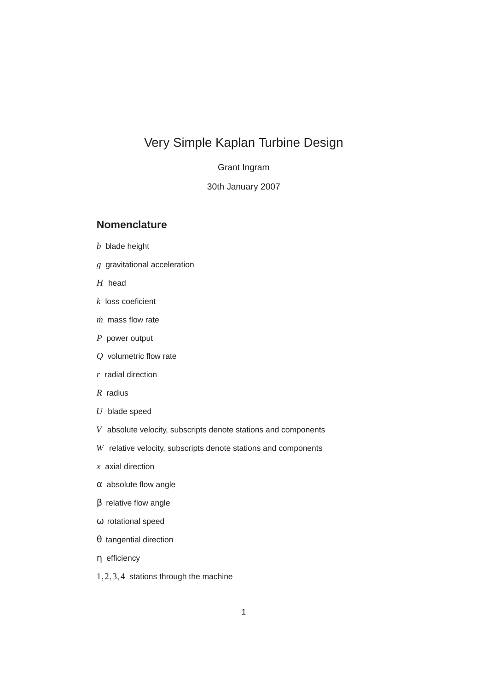# Very Simple Kaplan Turbine Design

Grant Ingram

30th January 2007

#### **Nomenclature**

- *b* blade height
- *g* gravitational acceleration
- *H* head
- *k* loss coeficient
- *m*˙ mass flow rate
- *P* power output
- *Q* volumetric flow rate
- *r* radial direction
- *R* radius
- *U* blade speed
- *V* absolute velocity, subscripts denote stations and components
- *W* relative velocity, subscripts denote stations and components
- *x* axial direction
- α absolute flow angle
- β relative flow angle
- ω rotational speed
- θ tangential direction
- η efficiency
- 1,2,3,4 stations through the machine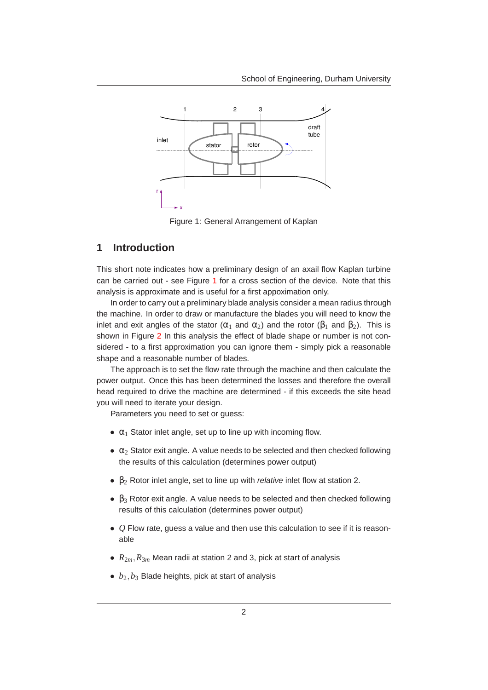

<span id="page-1-0"></span>Figure 1: General Arrangement of Kaplan

#### **1 Introduction**

This short note indicates how a preliminary design of an axail flow Kaplan turbine can be carried out - see Figure [1](#page-1-0) for a cross section of the device. Note that this analysis is approximate and is useful for a first appoximation only.

In order to carry out a preliminary blade analysis consider a mean radius through the machine. In order to draw or manufacture the blades you will need to know the inlet and exit angles of the stator ( $\alpha_1$  and  $\alpha_2$ ) and the rotor ( $\beta_1$  and  $\beta_2$ ). This is shown in Figure [2](#page-2-0) In this analysis the effect of blade shape or number is not considered - to a first approximation you can ignore them - simply pick a reasonable shape and a reasonable number of blades.

The approach is to set the flow rate through the machine and then calculate the power output. Once this has been determined the losses and therefore the overall head required to drive the machine are determined - if this exceeds the site head you will need to iterate your design.

Parameters you need to set or guess:

- $\alpha_1$  Stator inlet angle, set up to line up with incoming flow.
- $\alpha_2$  Stator exit angle. A value needs to be selected and then checked following the results of this calculation (determines power output)
- $\beta_2$  Rotor inlet angle, set to line up with *relative* inlet flow at station 2.
- $\bullet$   $\beta_3$  Rotor exit angle. A value needs to be selected and then checked following results of this calculation (determines power output)
- *Q* Flow rate, guess a value and then use this calculation to see if it is reasonable
- $R_{2m}$ ,  $R_{3m}$  Mean radii at station 2 and 3, pick at start of analysis
- *<sup>b</sup>*2,*b*<sup>3</sup> Blade heights, pick at start of analysis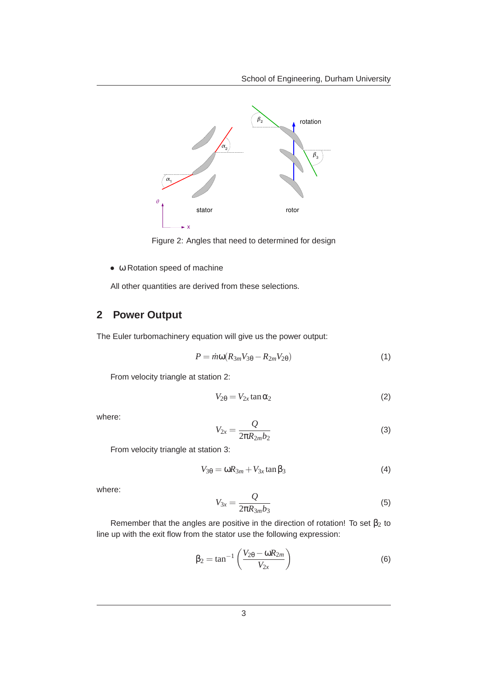

<span id="page-2-0"></span>Figure 2: Angles that need to determined for design

• ω Rotation speed of machine

All other quantities are derived from these selections.

## **2 Power Output**

The Euler turbomachinery equation will give us the power output:

$$
P = \dot{m}\omega(R_{3m}V_{3\theta} - R_{2m}V_{2\theta})
$$
\n(1)

From velocity triangle at station 2:

$$
V_{2\theta} = V_{2x} \tan \alpha_2 \tag{2}
$$

where:

$$
V_{2x} = \frac{Q}{2\pi R_{2m}b_2} \tag{3}
$$

From velocity triangle at station 3:

$$
V_{3\theta} = \omega R_{3m} + V_{3x} \tan \beta_3 \tag{4}
$$

where:

$$
V_{3x} = \frac{Q}{2\pi R_{3m}b_3} \tag{5}
$$

Remember that the angles are positive in the direction of rotation! To set  $\beta_2$  to line up with the exit flow from the stator use the following expression:

$$
\beta_2 = \tan^{-1}\left(\frac{V_{2\theta} - \omega R_{2m}}{V_{2x}}\right)
$$
 (6)